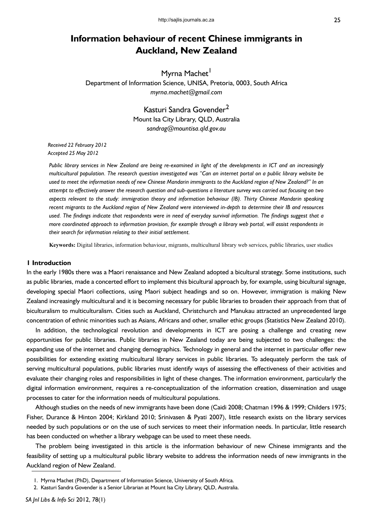# **Information behaviour of recent Chinese immigrants in Auckland, New Zealand**

Myrna Machet<sup>1</sup> Department of Information Science, UNISA, Pretoria, 0003, South Africa *myrna.machet@gmail.com*

> Kasturi Sandra Govender<sup>2</sup> Mount Isa City Library, QLD, Australia *sandrag@mountisa.qld.gov.au*

*Received 22 February 2012 Accepted 25 May 2012*

*Public library services in New Zealand are being re-examined in light of the developments in ICT and an increasingly multicultural population. The research question investigated was "Can an internet portal on a public library website be used to meet the information needs of new Chinese Mandarin immigrants to the Auckland region of New Zealand?" In an attempt to effectively answer the research question and sub-questions a literature survey was carried out focusing on two aspects relevant to the study: immigration theory and information behaviour (IB). Thirty Chinese Mandarin speaking recent migrants to the Auckland region of New Zealand were interviewed in-depth to determine their IB and resources used. The findings indicate that respondents were in need of everyday survival information. The findings suggest that a more coordinated approach to information provision, for example through a library web portal, will assist respondents in their search for information relating to their initial settlement.* 

**Keywords:** Digital libraries, information behaviour, migrants, multicultural library web services, public libraries, user studies

# **1 Introduction**

In the early 1980s there was a Maori renaissance and New Zealand adopted a bicultural strategy. Some institutions, such as public libraries, made a concerted effort to implement this bicultural approach by, for example, using bicultural signage, developing special Maori collections, using Maori subject headings and so on. However, immigration is making New Zealand increasingly multicultural and it is becoming necessary for public libraries to broaden their approach from that of biculturalism to multiculturalism. Cities such as Auckland, Christchurch and Manukau attracted an unprecedented large concentration of ethnic minorities such as Asians, Africans and other, smaller ethic groups (Statistics New Zealand 2010).

In addition, the technological revolution and developments in ICT are posing a challenge and creating new opportunities for public libraries. Public libraries in New Zealand today are being subjected to two challenges: the expanding use of the internet and changing demographics. Technology in general and the internet in particular offer new possibilities for extending existing multicultural library services in public libraries. To adequately perform the task of serving multicultural populations, public libraries must identify ways of assessing the effectiveness of their activities and evaluate their changing roles and responsibilities in light of these changes. The information environment, particularly the digital information environment, requires a re-conceptualization of the information creation, dissemination and usage processes to cater for the information needs of multicultural populations.

Although studies on the needs of new immigrants have been done (Caidi 2008; Chatman 1996 & 1999; Childers 1975; Fisher, Durance & Hinton 2004; Kirkland 2010; Srinivasen & Pyati 2007), little research exists on the library services needed by such populations or on the use of such services to meet their information needs. In particular, little research has been conducted on whether a library webpage can be used to meet these needs.

The problem being investigated in this article is the information behaviour of new Chinese immigrants and the feasibility of setting up a multicultural public library website to address the information needs of new immigrants in the Auckland region of New Zealand.

<sup>1.</sup> Myrna Machet (PhD), Department of Information Science, University of South Africa.

<sup>2.</sup> Kasturi Sandra Govender is a Senior Librarian at Mount Isa City Library, QLD, Australia.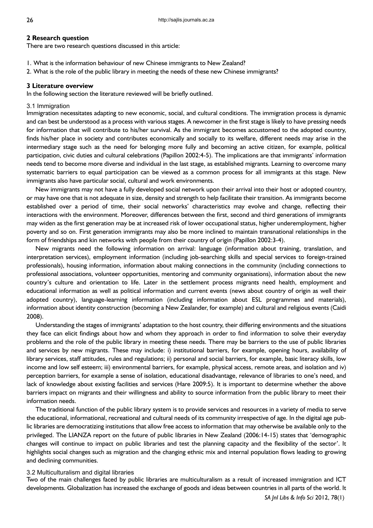### **2 Research question**

There are two research questions discussed in this article:

- 1. What is the information behaviour of new Chinese immigrants to New Zealand?
- 2. What is the role of the public library in meeting the needs of these new Chinese immigrants?

### **3 Literature overview**

In the following section the literature reviewed will be briefly outlined.

## 3.1 Immigration

Immigration necessitates adapting to new economic, social, and cultural conditions. The immigration process is dynamic and can best be understood as a process with various stages. A newcomer in the first stage is likely to have pressing needs for information that will contribute to his/her survival. As the immigrant becomes accustomed to the adopted country, finds his/her place in society and contributes economically and socially to its welfare, different needs may arise in the intermediary stage such as the need for belonging more fully and becoming an active citizen, for example, political participation, civic duties and cultural celebrations (Papillon 2002:4-5). The implications are that immigrants' information needs tend to become more diverse and individual in the last stage, as established migrants. Learning to overcome many systematic barriers to equal participation can be viewed as a common process for all immigrants at this stage. New immigrants also have particular social, cultural and work environments.

New immigrants may not have a fully developed social network upon their arrival into their host or adopted country, or may have one that is not adequate in size, density and strength to help facilitate their transition. As immigrants become established over a period of time, their social networks' characteristics may evolve and change, reflecting their interactions with the environment. Moreover, differences between the first, second and third generations of immigrants may widen as the first generation may be at increased risk of lower occupational status, higher underemployment, higher poverty and so on. First generation immigrants may also be more inclined to maintain transnational relationships in the form of friendships and kin networks with people from their country of origin (Papillon 2002:3-4).

New migrants need the following information on arrival: language (information about training, translation, and interpretation services), employment information (including job-searching skills and special services to foreign-trained professionals), housing information, information about making connections in the community (including connections to professional associations, volunteer opportunities, mentoring and community organisations), information about the new country's culture and orientation to life. Later in the settlement process migrants need health, employment and educational information as well as political information and current events (news about country of origin as well their adopted country), language-learning information (including information about ESL programmes and materials), information about identity construction (becoming a New Zealander, for example) and cultural and religious events (Caidi 2008).

Understanding the stages of immigrants' adaptation to the host country, their differing environments and the situations they face can elicit findings about how and whom they approach in order to find information to solve their everyday problems and the role of the public library in meeting these needs. There may be barriers to the use of public libraries and services by new migrants. These may include: i) institutional barriers, for example, opening hours, availability of library services, staff attitudes, rules and regulations; ii) personal and social barriers, for example, basic literacy skills, low income and low self esteem; iii) environmental barriers, for example, physical access, remote areas, and isolation and iv) perception barriers, for example a sense of isolation, educational disadvantage, relevance of libraries to one's need, and lack of knowledge about existing facilities and services (Hare 2009:5). It is important to determine whether the above barriers impact on migrants and their willingness and ability to source information from the public library to meet their information needs.

The traditional function of the public library system is to provide services and resources in a variety of media to serve the educational, informational, recreational and cultural needs of its community irrespective of age. In the digital age public libraries are democratizing institutions that allow free access to information that may otherwise be available only to the privileged. The LIANZA report on the future of public libraries in New Zealand (2006:14-15) states that 'demographic changes will continue to impact on public libraries and test the planning capacity and the flexibility of the sector'. It highlights social changes such as migration and the changing ethnic mix and internal population flows leading to growing and declining communities.

### 3.2 Multiculturalism and digital libraries

Two of the main challenges faced by public libraries are multiculturalism as a result of increased immigration and ICT developments. Globalization has increased the exchange of goods and ideas between countries in all parts of the world. It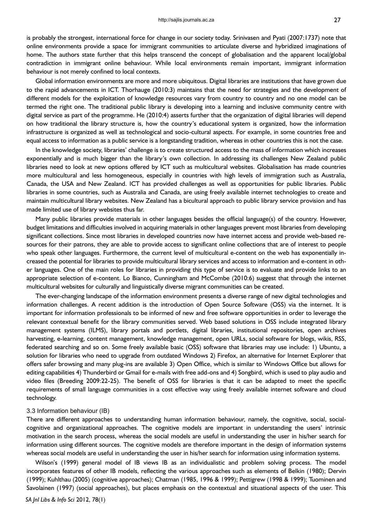is probably the strongest, international force for change in our society today. Srinivasen and Pyati (2007:1737) note that online environments provide a space for immigrant communities to articulate diverse and hybridized imaginations of home. The authors state further that this helps transcend the concept of globalisation and the apparent local/global contradiction in immigrant online behaviour. While local environments remain important, immigrant information behaviour is not merely confined to local contexts.

Global information environments are more and more ubiquitous. Digital libraries are institutions that have grown due to the rapid advancements in ICT. Thorhauge (2010:3) maintains that the need for strategies and the development of different models for the exploitation of knowledge resources vary from country to country and no one model can be termed the right one. The traditional public library is developing into a learning and inclusive community centre with digital service as part of the programme. He (2010:4) asserts further that the organization of digital libraries will depend on how traditional the library structure is, how the country's educational system is organized, how the information infrastructure is organized as well as technological and socio-cultural aspects. For example, in some countries free and equal access to information as a public service is a longstanding tradition, whereas in other countries this is not the case.

In the knowledge society, libraries' challenge is to create structured access to the mass of information which increases exponentially and is much bigger than the library's own collection. In addressing its challenges New Zealand public libraries need to look at new options offered by ICT such as multicultural websites. Globalisation has made countries more multicultural and less homogeneous, especially in countries with high levels of immigration such as Australia, Canada, the USA and New Zealand. ICT has provided challenges as well as opportunities for public libraries. Public libraries in some countries, such as Australia and Canada, are using freely available internet technologies to create and maintain multicultural library websites. New Zealand has a bicultural approach to public library service provision and has made limited use of library websites thus far.

Many public libraries provide materials in other languages besides the official language(s) of the country. However, budget limitations and difficulties involved in acquiring materials in other languages prevent most libraries from developing significant collections. Since most libraries in developed countries now have internet access and provide web-based resources for their patrons, they are able to provide access to significant online collections that are of interest to people who speak other languages. Furthermore, the current level of multicultural e-content on the web has exponentially increased the potential for libraries to provide multicultural library services and access to information and e-content in other languages. One of the main roles for libraries in providing this type of service is to evaluate and provide links to an appropriate selection of e-content. Lo Bianco, Cunningham and McCombe (2010:6) suggest that through the internet multicultural websites for culturally and linguistically diverse migrant communities can be created.

The ever-changing landscape of the information environment presents a diverse range of new digital technologies and information challenges. A recent addition is the introduction of Open Source Software (OSS) via the internet. It is important for information professionals to be informed of new and free software opportunities in order to leverage the relevant contextual benefit for the library communities served. Web based solutions in OSS include integrated library management systems (ILMS), library portals and portlets, digital libraries, institutional repositories, open archives harvesting, e-learning, content management, knowledge management, open URLs, social software for blogs, wikis, RSS, federated searching and so on. Some freely available basic (OSS) software that libraries may use include: 1) Ubuntu, a solution for libraries who need to upgrade from outdated Windows 2) Firefox, an alternative for Internet Explorer that offers safer browsing and many plug-ins are available 3) Open Office, which is similar to Windows Office but allows for editing capabilities 4) Thunderbird or Gmail for e-mails with free add-ons and 4) Songbird, which is used to play audio and video files (Breeding 2009:22-25). The benefit of OSS for libraries is that it can be adapted to meet the specific requirements of small language communities in a cost effective way using freely available internet software and cloud technology.

#### 3.3 Information behaviour (IB)

There are different approaches to understanding human information behaviour, namely, the cognitive, social, socialcognitive and organizational approaches. The cognitive models are important in understanding the users' intrinsic motivation in the search process, whereas the social models are useful in understanding the user in his/her search for information using different sources. The cognitive models are therefore important in the design of information systems whereas social models are useful in understanding the user in his/her search for information using information systems.

Wilson's (1999) general model of IB views IB as an individualistic and problem solving process. The model incorporates features of other IB models, reflecting the various approaches such as elements of Belkin (1980); Dervin (1999); Kuhlthau (2005) (cognitive approaches); Chatman (1985, 1996 & 1999); Pettigrew (1998 & 1999); Tuominen and Savolainen (1997) (social approaches), but places emphasis on the contextual and situational aspects of the user. This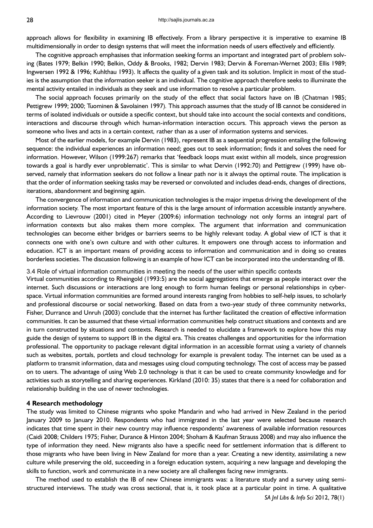approach allows for flexibility in examining IB effectively. From a library perspective it is imperative to examine IB multidimensionally in order to design systems that will meet the information needs of users effectively and efficiently.

The cognitive approach emphasises that information seeking forms an important and integrated part of problem solving (Bates 1979; Belkin 1990; Belkin, Oddy & Brooks, 1982; Dervin 1983; Dervin & Foreman-Wernet 2003; Ellis 1989; Ingwersen 1992 & 1996; Kuhlthau 1993). It affects the quality of a given task and its solution. Implicit in most of the studies is the assumption that the information seeker is an individual. The cognitive approach therefore seeks to illuminate the mental activity entailed in individuals as they seek and use information to resolve a particular problem.

The social approach focuses primarily on the study of the effect that social factors have on IB (Chatman 1985; Pettigrew 1999; 2000; Tuominen & Savolainen 1997)*.* This approach assumes that the study of IB cannot be considered in terms of isolated individuals or outside a specific context, but should take into account the social contexts and conditions, interactions and discourse through which human-information interaction occurs. This approach views the person as someone who lives and acts in a certain context*,* rather than as a user of information systems and services.

Most of the earlier models, for example Dervin (1983), represent IB as a sequential progression entailing the following sequence: the individual experiences an information need; goes out to seek information; finds it and solves the need for information. However, Wilson (1999:267) remarks that 'feedback loops must exist within all models, since progression towards a goal is hardly ever unproblematic'. This is similar to what Dervin (1992:70) and Pettigrew (1999) have observed, namely that information seekers do not follow a linear path nor is it always the optimal route. The implication is that the order of information seeking tasks may be reversed or convoluted and includes dead-ends, changes of directions, iterations, abandonment and beginning again.

The convergence of information and communication technologies is the major impetus driving the development of the information society. The most important feature of this is the large amount of information accessible instantly anywhere. According to Lievrouw (2001) cited in Meyer (2009:6) information technology not only forms an integral part of information contexts but also makes them more complex. The argument that information and communication technologies can become either bridges or barriers seems to be highly relevant today. A global view of ICT is that it connects one with one's own culture and with other cultures. It empowers one through access to information and education. ICT is an important means of providing access to information and communication and in doing so creates borderless societies. The discussion following is an example of how ICT can be incorporated into the understanding of IB.

3.4 Role of virtual information communities in meeting the needs of the user within specific contexts

Virtual communities according to Rheingold (1993:5) are the social aggregations that emerge as people interact over the internet. Such discussions or interactions are long enough to form human feelings or personal relationships in cyberspace. Virtual information communities are formed around interests ranging from hobbies to self-help issues, to scholarly and professional discourse or social networking. Based on data from a two-year study of three community networks, Fisher, Durrance and Unruh (2003) conclude that the internet has further facilitated the creation of effective information communities. It can be assumed that these virtual information communities help construct situations and contexts and are in turn constructed by situations and contexts. Research is needed to elucidate a framework to explore how this may guide the design of systems to support IB in the digital era. This creates challenges and opportunities for the information professional. The opportunity to package relevant digital information in an accessible format using a variety of channels such as websites, portals, portlets and cloud technology for example is prevalent today. The internet can be used as a platform to transmit information, data and messages using cloud computing technology. The cost of access may be passed on to users. The advantage of using Web 2.0 technology is that it can be used to create community knowledge and for activities such as storytelling and sharing experiences. Kirkland (2010: 35) states that there is a need for collaboration and relationship building in the use of newer technologies.

## **4 Research methodology**

The study was limited to Chinese migrants who spoke Mandarin and who had arrived in New Zealand in the period January 2009 to January 2010. Respondents who had immigrated in the last year were selected because research indicates that time spent in their new country may influence respondents' awareness of available information resources (Caidi 2008; Childers 1975; Fisher, Durance & Hinton 2004; Shoham & Kaufman Strauss 2008) and may also influence the type of information they need. New migrants also have a specific need for settlement information that is different to those migrants who have been living in New Zealand for more than a year. Creating a new identity, assimilating a new culture while preserving the old, succeeding in a foreign education system, acquiring a new language and developing the skills to function, work and communicate in a new society are all challenges facing new immigrants.

The method used to establish the IB of new Chinese immigrants was: a literature study and a survey using semistructured interviews. The study was cross sectional, that is, it took place at a particular point in time. A qualitative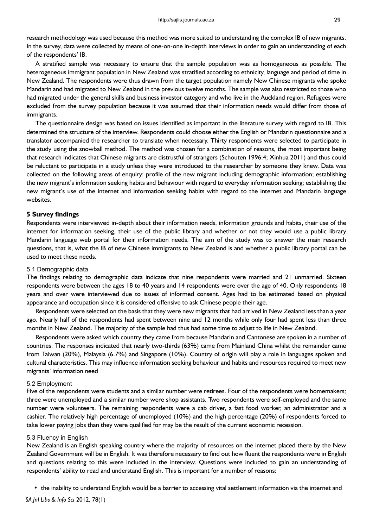research methodology was used because this method was more suited to understanding the complex IB of new migrants. In the survey, data were collected by means of one-on-one in-depth interviews in order to gain an understanding of each of the respondents' IB.

A stratified sample was necessary to ensure that the sample population was as homogeneous as possible. The heterogeneous immigrant population in New Zealand was stratified according to ethnicity, language and period of time in New Zealand. The respondents were thus drawn from the target population namely New Chinese migrants who spoke Mandarin and had migrated to New Zealand in the previous twelve months. The sample was also restricted to those who had migrated under the general skills and business investor category and who live in the Auckland region. Refugees were excluded from the survey population because it was assumed that their information needs would differ from those of immigrants.

The questionnaire design was based on issues identified as important in the literature survey with regard to IB. This determined the structure of the interview. Respondents could choose either the English or Mandarin questionnaire and a translator accompanied the researcher to translate when necessary. Thirty respondents were selected to participate in the study using the snowball method. The method was chosen for a combination of reasons, the most important being that research indicates that Chinese migrants are distrustful of strangers (Schouten 1996:4; Xinhua 2011) and thus could be reluctant to participate in a study unless they were introduced to the researcher by someone they knew. Data was collected on the following areas of enquiry: profile of the new migrant including demographic information; establishing the new migrant's information seeking habits and behaviour with regard to everyday information seeking; establishing the new migrant's use of the internet and information seeking habits with regard to the internet and Mandarin language websites.

## **5 Survey findings**

Respondents were interviewed in-depth about their information needs, information grounds and habits, their use of the internet for information seeking, their use of the public library and whether or not they would use a public library Mandarin language web portal for their information needs. The aim of the study was to answer the main research questions, that is, what the IB of new Chinese immigrants to New Zealand is and whether a public library portal can be used to meet these needs.

### 5.1 Demographic data

The findings relating to demographic data indicate that nine respondents were married and 21 unmarried. Sixteen respondents were between the ages 18 to 40 years and 14 respondents were over the age of 40. Only respondents 18 years and over were interviewed due to issues of informed consent. Ages had to be estimated based on physical appearance and occupation since it is considered offensive to ask Chinese people their age.

Respondents were selected on the basis that they were new migrants that had arrived in New Zealand less than a year ago. Nearly half of the respondents had spent between nine and 12 months while only four had spent less than three months in New Zealand. The majority of the sample had thus had some time to adjust to life in New Zealand.

Respondents were asked which country they came from because Mandarin and Cantonese are spoken in a number of countries. The responses indicated that nearly two-thirds (63%) came from Mainland China whilst the remainder came from Taiwan (20%), Malaysia (6.7%) and Singapore (10%). Country of origin will play a role in languages spoken and cultural characteristics. This may influence information seeking behaviour and habits and resources required to meet new migrants' information need

# 5.2 Employment

Five of the respondents were students and a similar number were retirees. Four of the respondents were homemakers*;* three were unemployed and a similar number were shop assistants. Two respondents were self-employed and the same number were volunteers. The remaining respondents were a cab driver, a fast food worker, an administrator and a cashier. The relatively high percentage of unemployed (10%) and the high percentage (20%) of respondents forced to take lower paying jobs than they were qualified for may be the result of the current economic recession.

#### 5.3 Fluency in English

New Zealand is an English speaking country where the majority of resources on the internet placed there by the New Zealand Government will be in English. It was therefore necessary to find out how fluent the respondents were in English and questions relating to this were included in the interview. Questions were included to gain an understanding of respondents' ability to read and understand English. This is important for a number of reasons:

• the inability to understand English would be a barrier to accessing vital settlement information via the internet and

*SA Jnl Libs & Info Sci* 2012, 78(1)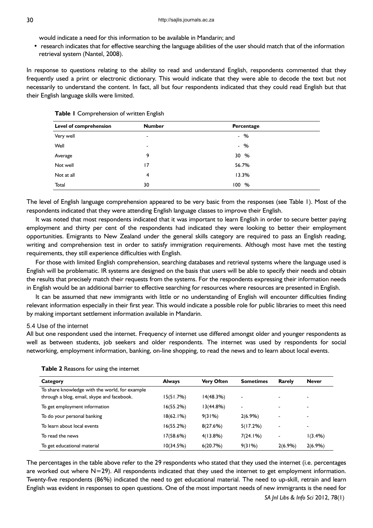would indicate a need for this information to be available in Mandarin; and

• research indicates that for effective searching the language abilities of the user should match that of the information retrieval system (Nantel, 2008).

In response to questions relating to the ability to read and understand English, respondents commented that they frequently used a print or electronic dictionary. This would indicate that they were able to decode the text but not necessarily to understand the content. In fact, all but four respondents indicated that they could read English but that their English language skills were limited.

|  |  | Table I Comprehension of written English |  |  |
|--|--|------------------------------------------|--|--|
|--|--|------------------------------------------|--|--|

| Level of comprehension | <b>Number</b>            | Percentage |  |
|------------------------|--------------------------|------------|--|
| Very well              | $\,$                     | $-$ %      |  |
| Well                   | $\overline{\phantom{a}}$ | $-$ %      |  |
| Average                | 9                        | 30 %       |  |
| Not well               | 17                       | 56.7%      |  |
| Not at all             | $\overline{4}$           | 13.3%      |  |
| Total                  | 30                       | 100%       |  |

The level of English language comprehension appeared to be very basic from the responses (see Table 1). Most of the respondents indicated that they were attending English language classes to improve their English.

It was noted that most respondents indicated that it was important to learn English in order to secure better paying employment and thirty per cent of the respondents had indicated they were looking to better their employment opportunities. Emigrants to New Zealand under the general skills category are required to pass an English reading, writing and comprehension test in order to satisfy immigration requirements. Although most have met the testing requirements, they still experience difficulties with English.

For those with limited English comprehension, searching databases and retrieval systems where the language used is English will be problematic. IR systems are designed on the basis that users will be able to specify their needs and obtain the results that precisely match their requests from the systems. For the respondents expressing their information needs in English would be an additional barrier to effective searching for resources where resources are presented in English.

It can be assumed that new immigrants with little or no understanding of English will encounter difficulties finding relevant information especially in their first year. This would indicate a possible role for public libraries to meet this need by making important settlement information available in Mandarin.

## 5.4 Use of the internet

All but one respondent used the internet. Frequency of internet use differed amongst older and younger respondents as well as between students, job seekers and older respondents. The internet was used by respondents for social networking, employment information, banking, on-line shopping, to read the news and to learn about local events.

| Category                                       | <b>Always</b> | <b>Very Often</b> | <b>Sometimes</b>         | Rarely                   | <b>Never</b>             |
|------------------------------------------------|---------------|-------------------|--------------------------|--------------------------|--------------------------|
| To share knowledge with the world, for example |               |                   |                          |                          |                          |
| through a blog, email, skype and facebook.     | 15(51.7%)     | 14(48.3%)         | $\overline{\phantom{a}}$ |                          | $\overline{\phantom{a}}$ |
| To get employment information                  | 16(55.2%)     | 13(44.8%)         | $\overline{\phantom{0}}$ | -                        | $\overline{\phantom{a}}$ |
| To do your personal banking                    | 18(62.1%)     | 9(31%)            | 2(6.9%)                  |                          | $\overline{\phantom{a}}$ |
| To learn about local events                    | 16(55.2%)     | 8(27.6%)          | 5(17.2%)                 | $\overline{\phantom{0}}$ | $\overline{\phantom{a}}$ |
| To read the news                               | 17(58.6%)     | $4(13.8\%)$       | 7(24.1%)                 | $\overline{\phantom{0}}$ | 1(3.4%)                  |
| To get educational material                    | 10(34.5%)     | 6(20.7%)          | 9(31%)                   | $2(6.9\%)$               | 2(6.9%)                  |

#### **Table 2** Reasons for using the internet

The percentages in the table above refer to the 29 respondents who stated that they used the internet (i.e. percentages are worked out where  $N=29$ ). All respondents indicated that they used the internet to get employment information. Twenty-five respondents (86%) indicated the need to get educational material. The need to up-skill, retrain and learn English was evident in responses to open questions. One of the most important needs of new immigrants is the need for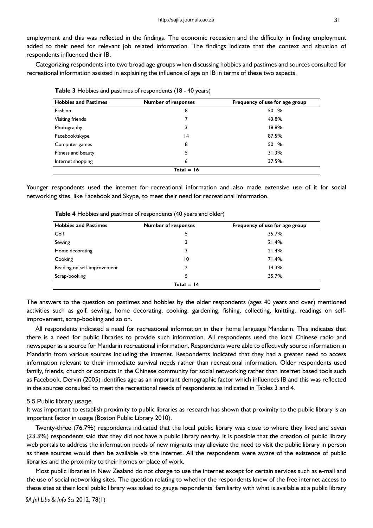employment and this was reflected in the findings. The economic recession and the difficulty in finding employment added to their need for relevant job related information. The findings indicate that the context and situation of respondents influenced their IB.

Categorizing respondents into two broad age groups when discussing hobbies and pastimes and sources consulted for recreational information assisted in explaining the influence of age on IB in terms of these two aspects.

| <b>Hobbies and Pastimes</b> | <b>Number of responses</b> | Frequency of use for age group |
|-----------------------------|----------------------------|--------------------------------|
| Fashion                     | 8                          | 50 %                           |
| Visiting friends            |                            | 43.8%                          |
| Photography                 | 3                          | 18.8%                          |
| Facebook/skype              | 14                         | 87.5%                          |
| Computer games              | 8                          | 50 %                           |
| Fitness and beauty          | 5                          | 31.3%                          |
| Internet shopping           | 6                          | 37.5%                          |
|                             | $Total = 16$               |                                |

**Table 3** Hobbies and pastimes of respondents (18 - 40 years)

Younger respondents used the internet for recreational information and also made extensive use of it for social networking sites, like Facebook and Skype, to meet their need for recreational information.

| <b>Hobbies and Pastimes</b> | <b>Number of responses</b> | Frequency of use for age group |
|-----------------------------|----------------------------|--------------------------------|
| Golf                        |                            | 35.7%                          |
| Sewing                      |                            | 21.4%                          |
| Home decorating             |                            | 21.4%                          |
| Cooking                     | 10                         | 71.4%                          |
| Reading on self-improvement |                            | 14.3%                          |
| Scrap-booking               |                            | 35.7%                          |
|                             | Total $=$ 14               |                                |

**Table 4** Hobbies and pastimes of respondents (40 years and older)

The answers to the question on pastimes and hobbies by the older respondents (ages 40 years and over) mentioned activities such as golf, sewing, home decorating, cooking, gardening, fishing, collecting, knitting, readings on selfimprovement, scrap-booking and so on.

All respondents indicated a need for recreational information in their home language Mandarin. This indicates that there is a need for public libraries to provide such information. All respondents used the local Chinese radio and newspaper as a source for Mandarin recreational information. Respondents were able to effectively source information in Mandarin from various sources including the internet. Respondents indicated that they had a greater need to access information relevant to their immediate survival needs rather than recreational information. Older respondents used family, friends, church or contacts in the Chinese community for social networking rather than internet based tools such as Facebook. Dervin (2005) identifies age as an important demographic factor which influences IB and this was reflected in the sources consulted to meet the recreational needs of respondents as indicated in Tables 3 and 4.

### 5.5 Public library usage

It was important to establish proximity to public libraries as research has shown that proximity to the public library is an important factor in usage (Boston Public Library 2010).

Twenty-three (76.7%) respondents indicated that the local public library was close to where they lived and seven (23.3%) respondents said that they did not have a public library nearby. It is possible that the creation of public library web portals to address the information needs of new migrants may alleviate the need to visit the public library in person as these sources would then be available via the internet. All the respondents were aware of the existence of public libraries and the proximity to their homes or place of work.

Most public libraries in New Zealand do not charge to use the internet except for certain services such as e-mail and the use of social networking sites. The question relating to whether the respondents knew of the free internet access to these sites at their local public library was asked to gauge respondents' familiarity with what is available at a public library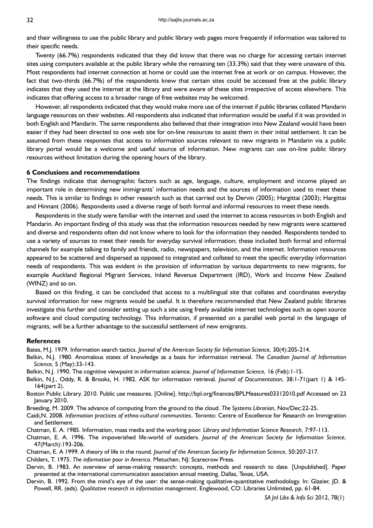and their willingness to use the public library and public library web pages more frequently if information was tailored to their specific needs.

Twenty (66.7%) respondents indicated that they did know that there was no charge for accessing certain internet sites using computers available at the public library while the remaining ten (33.3%) said that they were unaware of this. Most respondents had internet connection at home or could use the internet free at work or on campus. However, the fact that two-thirds (66.7%) of the respondents knew that certain sites could be accessed free at the public library indicates that they used the internet at the library and were aware of these sites irrespective of access elsewhere. This indicates that offering access to a broader range of free websites may be welcomed.

However, all respondents indicated that they would make more use of the internet if public libraries collated Mandarin language resources on their websites. All respondents also indicated that information would be useful if it was provided in both English and Mandarin. The same respondents also believed that their integration into New Zealand would have been easier if they had been directed to one web site for on-line resources to assist them in their initial settlement. It can be assumed from these responses that access to information sources relevant to new migrants in Mandarin via a public library portal would be a welcome and useful source of information. New migrants can use on-line public library resources without limitation during the opening hours of the library.

## **6 Conclusions and recommendations**

The findings indicate that demographic factors such as age, language, culture, employment and income played an important role in determining new immigrants' information needs and the sources of information used to meet these needs. This is similar to findings in other research such as that carried out by Dervin (2005); Hargittai (2003); Hargittai and Hinnant (2006). Respondents used a diverse range of both formal and informal resources to meet these needs.

Respondents in the study were familiar with the internet and used the internet to access resources in both English and Mandarin. An important finding of this study was that the information resources needed by new migrants were scattered and diverse and respondents often did not know where to look for the information they needed. Respondents tended to use a variety of sources to meet their needs for everyday survival information; these included both formal and informal channels for example talking to family and friends, radio, newspapers, television, and the internet. Information resources appeared to be scattered and dispersed as opposed to integrated and collated to meet the specific everyday information needs of respondents. This was evident in the provision of information by various departments to new migrants, for example Auckland Regional Migrant Services, Inland Revenue Department (IRD), Work and Income New Zealand (WINZ) and so on.

Based on this finding, it can be concluded that access to a multilingual site that collates and coordinates everyday survival information for new migrants would be useful. It is therefore recommended that New Zealand public libraries investigate this further and consider setting up such a site using freely available internet technologies such as open source software and cloud computing technology. This information, if presented on a parallel web portal in the language of migrants, will be a further advantage to the successful settlement of new emigrants.

#### **References**

Bates, M.J. 1979. Information search tactics. *Journal of the American Society for Information Science,* 30(4):205-214.

- Belkin, N.J. 1980. Anomalous states of knowledge as a basis for information retrieval. *The Canadian Journal of Information Science*, 5 (May):33-143.
- Belkin, N.J. 1990. The cognitive viewpoint in information science. *Journal of Information Science,* 16 (Feb):1-15.
- Belkin, N.J., Oddy, R. & Brooks, H. 1982. ASK for information retrieval. *Journal of Documentation*, 38:1-71(part 1) & 145- 164(part 2).
- Boston Public Library. 2010. Public use measures. [Online]. http://bpl.org/finances/BPLMeasures03312010.pdf Accessed on 23 January 2010.
- Breeding, M. 2009. The advance of computing from the ground to the cloud. *The Systems Librarian*, Nov/Dec:22-25.
- Caidi,N. 2008. *Information practices of ethno-cultural communities*. Toronto: Centre of Excellence for Research on Immigration and Settlement.
- Chatman, E. A. 1985. Information, mass media and the working poor*. Library and Information Science Research,* 7:97-113.
- Chatman, E. A. 1996. The impoverished life-world of outsiders. *Journal of the American Society for Information Science,*  47(March):193-206.
- Chatman, E. A 1999. A theory of life in the round. *Journal of the American Society for Information Science,* 50:207-217.
- Childers, T. 1975. *The information poor in America*. Metuchen, NJ: Scarecrow Press.
- Dervin, B. 1983. An overview of sense-making research: concepts, methods and research to date*.* [Unpublished]. Paper presented at the international communication association annual meeting. Dallas, Texas, USA.
- Dervin, B. 1992. From the mind's eye of the user: the sense-making qualitative-quantitative methodology. In: Glazier, JD. & Powell, RR. (eds). *Qualitative research in information management*. Englewood, CO: Libraries Unlimited, pp. 61-84.